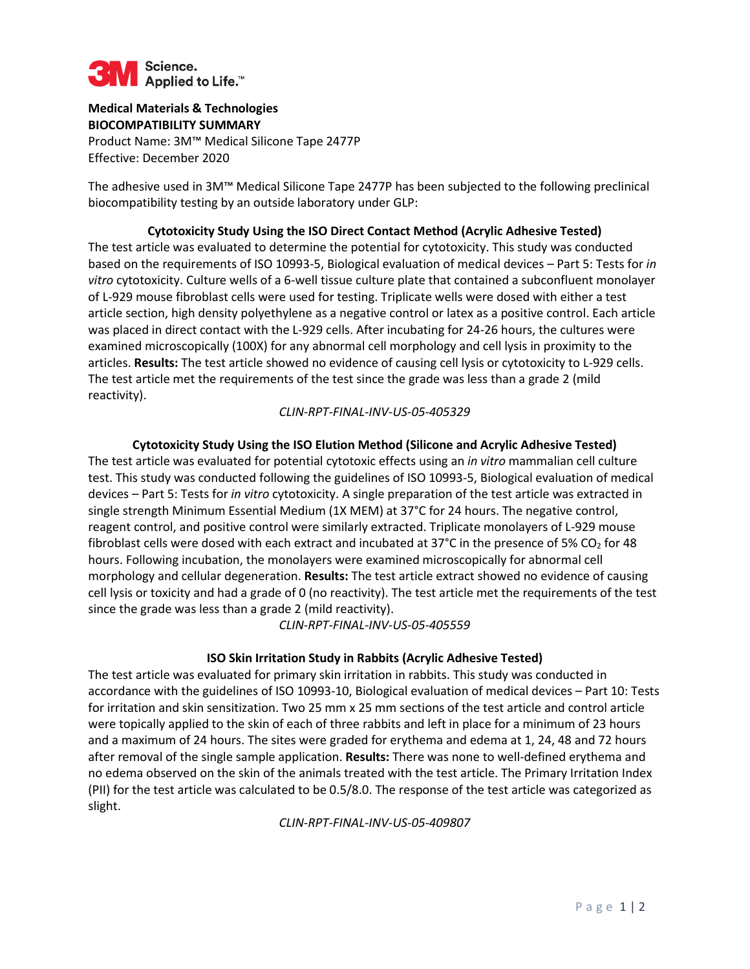

## **Medical Materials & Technologies BIOCOMPATIBILITY SUMMARY**

Product Name: 3M™ Medical Silicone Tape 2477P Effective: December 2020

The adhesive used in 3M™ Medical Silicone Tape 2477P has been subjected to the following preclinical biocompatibility testing by an outside laboratory under GLP:

**Cytotoxicity Study Using the ISO Direct Contact Method (Acrylic Adhesive Tested)** The test article was evaluated to determine the potential for cytotoxicity. This study was conducted based on the requirements of ISO 10993-5, Biological evaluation of medical devices – Part 5: Tests for *in vitro* cytotoxicity. Culture wells of a 6-well tissue culture plate that contained a subconfluent monolayer of L-929 mouse fibroblast cells were used for testing. Triplicate wells were dosed with either a test article section, high density polyethylene as a negative control or latex as a positive control. Each article was placed in direct contact with the L-929 cells. After incubating for 24-26 hours, the cultures were examined microscopically (100X) for any abnormal cell morphology and cell lysis in proximity to the articles. **Results:** The test article showed no evidence of causing cell lysis or cytotoxicity to L-929 cells. The test article met the requirements of the test since the grade was less than a grade 2 (mild reactivity).

### *CLIN-RPT-FINAL-INV-US-05-405329*

### **Cytotoxicity Study Using the ISO Elution Method (Silicone and Acrylic Adhesive Tested)**

The test article was evaluated for potential cytotoxic effects using an *in vitro* mammalian cell culture test. This study was conducted following the guidelines of ISO 10993-5, Biological evaluation of medical devices – Part 5: Tests for *in vitro* cytotoxicity. A single preparation of the test article was extracted in single strength Minimum Essential Medium (1X MEM) at 37°C for 24 hours. The negative control, reagent control, and positive control were similarly extracted. Triplicate monolayers of L-929 mouse fibroblast cells were dosed with each extract and incubated at 37°C in the presence of 5% CO<sub>2</sub> for 48 hours. Following incubation, the monolayers were examined microscopically for abnormal cell morphology and cellular degeneration. **Results:** The test article extract showed no evidence of causing cell lysis or toxicity and had a grade of 0 (no reactivity). The test article met the requirements of the test since the grade was less than a grade 2 (mild reactivity).

*CLIN-RPT-FINAL-INV-US-05-405559*

#### **ISO Skin Irritation Study in Rabbits (Acrylic Adhesive Tested)**

The test article was evaluated for primary skin irritation in rabbits. This study was conducted in accordance with the guidelines of ISO 10993-10, Biological evaluation of medical devices – Part 10: Tests for irritation and skin sensitization. Two 25 mm x 25 mm sections of the test article and control article were topically applied to the skin of each of three rabbits and left in place for a minimum of 23 hours and a maximum of 24 hours. The sites were graded for erythema and edema at 1, 24, 48 and 72 hours after removal of the single sample application. **Results:** There was none to well-defined erythema and no edema observed on the skin of the animals treated with the test article. The Primary Irritation Index (PII) for the test article was calculated to be 0.5/8.0. The response of the test article was categorized as slight.

*CLIN-RPT-FINAL-INV-US-05-409807*